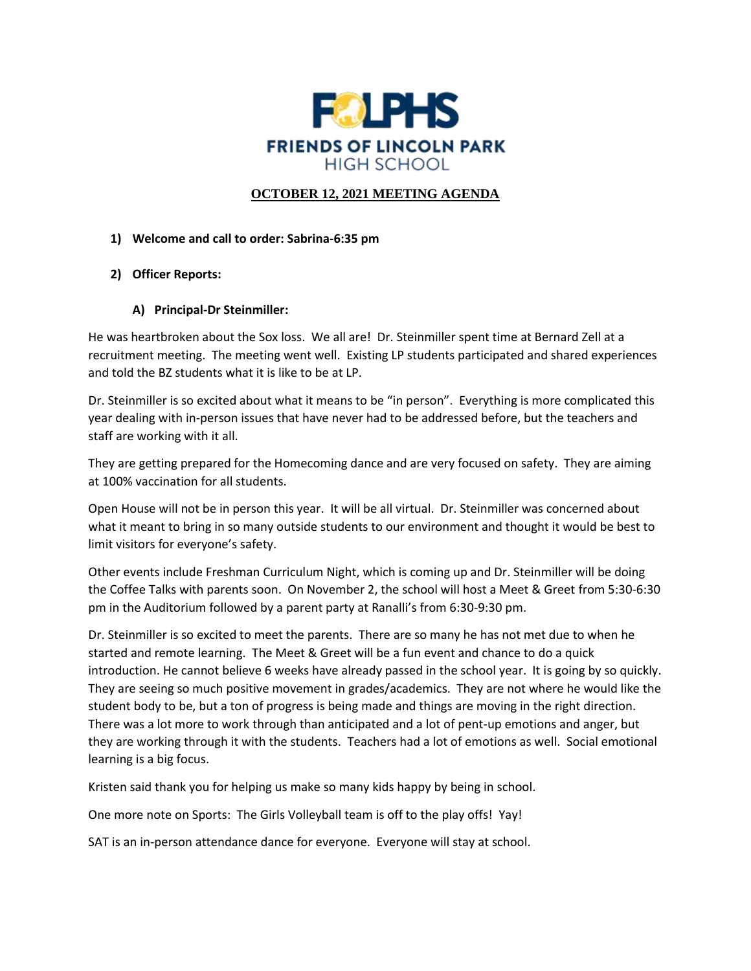

### **OCTOBER 12, 2021 MEETING AGENDA**

#### **1) Welcome and call to order: Sabrina-6:35 pm**

- **2) Officer Reports:**
	- **A) Principal-Dr Steinmiller:**

He was heartbroken about the Sox loss. We all are! Dr. Steinmiller spent time at Bernard Zell at a recruitment meeting. The meeting went well. Existing LP students participated and shared experiences and told the BZ students what it is like to be at LP.

Dr. Steinmiller is so excited about what it means to be "in person". Everything is more complicated this year dealing with in-person issues that have never had to be addressed before, but the teachers and staff are working with it all.

They are getting prepared for the Homecoming dance and are very focused on safety. They are aiming at 100% vaccination for all students.

Open House will not be in person this year. It will be all virtual. Dr. Steinmiller was concerned about what it meant to bring in so many outside students to our environment and thought it would be best to limit visitors for everyone's safety.

Other events include Freshman Curriculum Night, which is coming up and Dr. Steinmiller will be doing the Coffee Talks with parents soon. On November 2, the school will host a Meet & Greet from 5:30-6:30 pm in the Auditorium followed by a parent party at Ranalli's from 6:30-9:30 pm.

Dr. Steinmiller is so excited to meet the parents. There are so many he has not met due to when he started and remote learning. The Meet & Greet will be a fun event and chance to do a quick introduction. He cannot believe 6 weeks have already passed in the school year. It is going by so quickly. They are seeing so much positive movement in grades/academics. They are not where he would like the student body to be, but a ton of progress is being made and things are moving in the right direction. There was a lot more to work through than anticipated and a lot of pent-up emotions and anger, but they are working through it with the students. Teachers had a lot of emotions as well. Social emotional learning is a big focus.

Kristen said thank you for helping us make so many kids happy by being in school.

One more note on Sports: The Girls Volleyball team is off to the play offs! Yay!

SAT is an in-person attendance dance for everyone. Everyone will stay at school.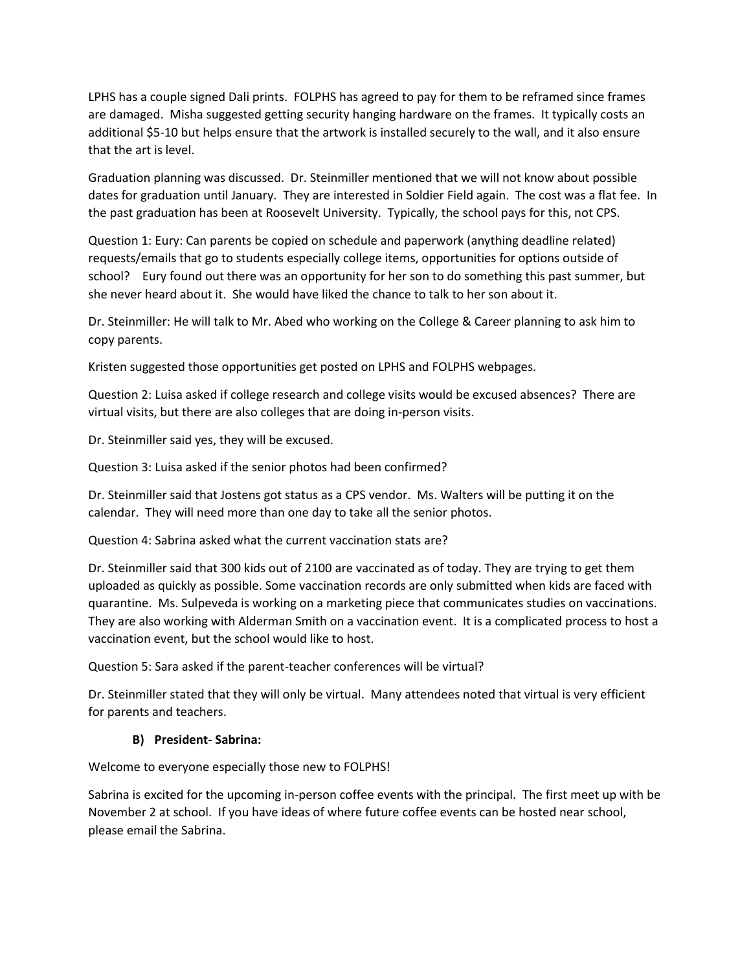LPHS has a couple signed Dali prints. FOLPHS has agreed to pay for them to be reframed since frames are damaged. Misha suggested getting security hanging hardware on the frames. It typically costs an additional \$5-10 but helps ensure that the artwork is installed securely to the wall, and it also ensure that the art is level.

Graduation planning was discussed. Dr. Steinmiller mentioned that we will not know about possible dates for graduation until January. They are interested in Soldier Field again. The cost was a flat fee. In the past graduation has been at Roosevelt University. Typically, the school pays for this, not CPS.

Question 1: Eury: Can parents be copied on schedule and paperwork (anything deadline related) requests/emails that go to students especially college items, opportunities for options outside of school? Eury found out there was an opportunity for her son to do something this past summer, but she never heard about it. She would have liked the chance to talk to her son about it.

Dr. Steinmiller: He will talk to Mr. Abed who working on the College & Career planning to ask him to copy parents.

Kristen suggested those opportunities get posted on LPHS and FOLPHS webpages.

Question 2: Luisa asked if college research and college visits would be excused absences? There are virtual visits, but there are also colleges that are doing in-person visits.

Dr. Steinmiller said yes, they will be excused.

Question 3: Luisa asked if the senior photos had been confirmed?

Dr. Steinmiller said that Jostens got status as a CPS vendor. Ms. Walters will be putting it on the calendar. They will need more than one day to take all the senior photos.

Question 4: Sabrina asked what the current vaccination stats are?

Dr. Steinmiller said that 300 kids out of 2100 are vaccinated as of today. They are trying to get them uploaded as quickly as possible. Some vaccination records are only submitted when kids are faced with quarantine. Ms. Sulpeveda is working on a marketing piece that communicates studies on vaccinations. They are also working with Alderman Smith on a vaccination event. It is a complicated process to host a vaccination event, but the school would like to host.

Question 5: Sara asked if the parent-teacher conferences will be virtual?

Dr. Steinmiller stated that they will only be virtual. Many attendees noted that virtual is very efficient for parents and teachers.

#### **B) President- Sabrina:**

Welcome to everyone especially those new to FOLPHS!

Sabrina is excited for the upcoming in-person coffee events with the principal. The first meet up with be November 2 at school. If you have ideas of where future coffee events can be hosted near school, please email the Sabrina.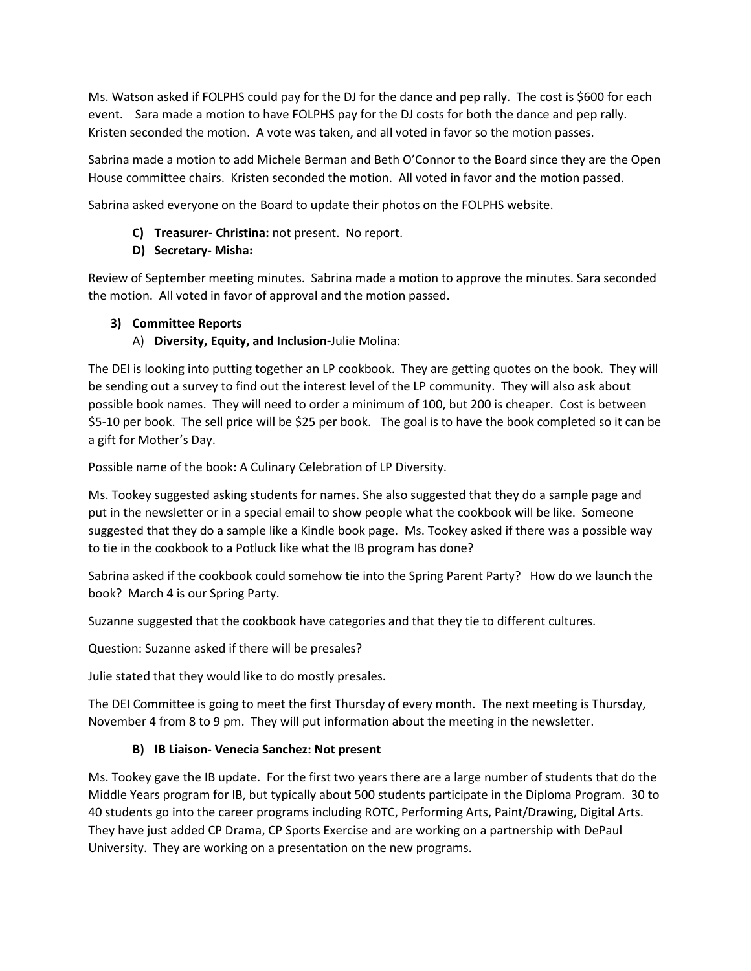Ms. Watson asked if FOLPHS could pay for the DJ for the dance and pep rally. The cost is \$600 for each event. Sara made a motion to have FOLPHS pay for the DJ costs for both the dance and pep rally. Kristen seconded the motion. A vote was taken, and all voted in favor so the motion passes.

Sabrina made a motion to add Michele Berman and Beth O'Connor to the Board since they are the Open House committee chairs. Kristen seconded the motion. All voted in favor and the motion passed.

Sabrina asked everyone on the Board to update their photos on the FOLPHS website.

- **C) Treasurer- Christina:** not present. No report.
- **D) Secretary- Misha:**

Review of September meeting minutes. Sabrina made a motion to approve the minutes. Sara seconded the motion. All voted in favor of approval and the motion passed.

## **3) Committee Reports**

A) **Diversity, Equity, and Inclusion-**Julie Molina:

The DEI is looking into putting together an LP cookbook. They are getting quotes on the book. They will be sending out a survey to find out the interest level of the LP community. They will also ask about possible book names. They will need to order a minimum of 100, but 200 is cheaper. Cost is between \$5-10 per book. The sell price will be \$25 per book. The goal is to have the book completed so it can be a gift for Mother's Day.

Possible name of the book: A Culinary Celebration of LP Diversity.

Ms. Tookey suggested asking students for names. She also suggested that they do a sample page and put in the newsletter or in a special email to show people what the cookbook will be like. Someone suggested that they do a sample like a Kindle book page. Ms. Tookey asked if there was a possible way to tie in the cookbook to a Potluck like what the IB program has done?

Sabrina asked if the cookbook could somehow tie into the Spring Parent Party? How do we launch the book? March 4 is our Spring Party.

Suzanne suggested that the cookbook have categories and that they tie to different cultures.

Question: Suzanne asked if there will be presales?

Julie stated that they would like to do mostly presales.

The DEI Committee is going to meet the first Thursday of every month. The next meeting is Thursday, November 4 from 8 to 9 pm. They will put information about the meeting in the newsletter.

## **B) IB Liaison- Venecia Sanchez: Not present**

Ms. Tookey gave the IB update. For the first two years there are a large number of students that do the Middle Years program for IB, but typically about 500 students participate in the Diploma Program. 30 to 40 students go into the career programs including ROTC, Performing Arts, Paint/Drawing, Digital Arts. They have just added CP Drama, CP Sports Exercise and are working on a partnership with DePaul University. They are working on a presentation on the new programs.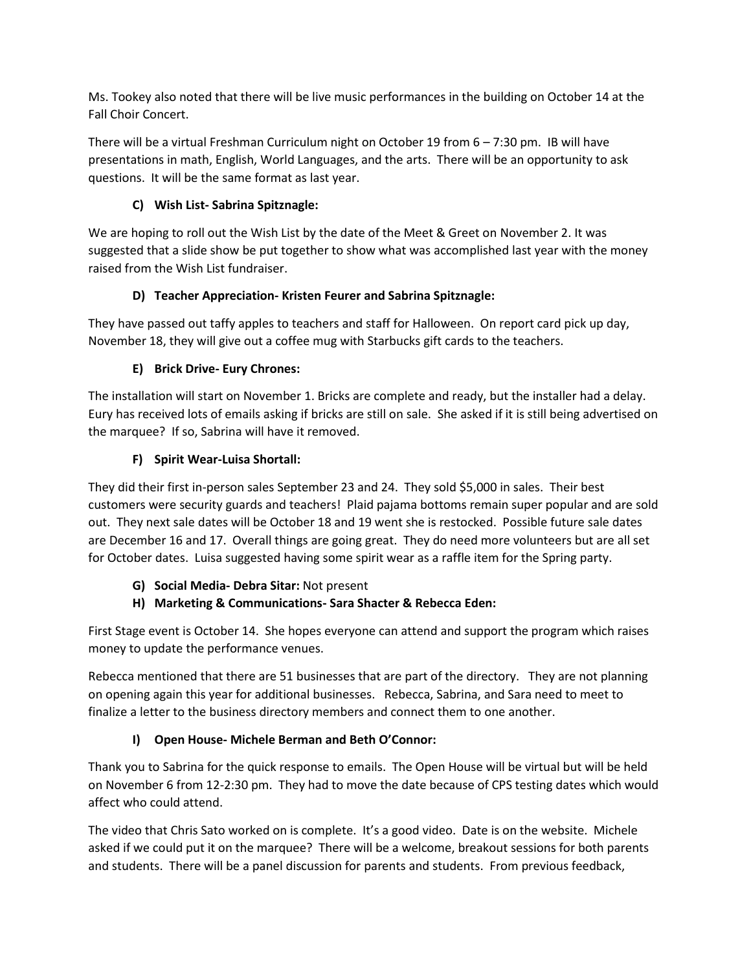Ms. Tookey also noted that there will be live music performances in the building on October 14 at the Fall Choir Concert.

There will be a virtual Freshman Curriculum night on October 19 from 6 – 7:30 pm. IB will have presentations in math, English, World Languages, and the arts. There will be an opportunity to ask questions. It will be the same format as last year.

## **C) Wish List- Sabrina Spitznagle:**

We are hoping to roll out the Wish List by the date of the Meet & Greet on November 2. It was suggested that a slide show be put together to show what was accomplished last year with the money raised from the Wish List fundraiser.

## **D) Teacher Appreciation- Kristen Feurer and Sabrina Spitznagle:**

They have passed out taffy apples to teachers and staff for Halloween. On report card pick up day, November 18, they will give out a coffee mug with Starbucks gift cards to the teachers.

# **E) Brick Drive- Eury Chrones:**

The installation will start on November 1. Bricks are complete and ready, but the installer had a delay. Eury has received lots of emails asking if bricks are still on sale. She asked if it is still being advertised on the marquee? If so, Sabrina will have it removed.

# **F) Spirit Wear-Luisa Shortall:**

They did their first in-person sales September 23 and 24. They sold \$5,000 in sales. Their best customers were security guards and teachers! Plaid pajama bottoms remain super popular and are sold out. They next sale dates will be October 18 and 19 went she is restocked. Possible future sale dates are December 16 and 17. Overall things are going great. They do need more volunteers but are all set for October dates. Luisa suggested having some spirit wear as a raffle item for the Spring party.

- **G) Social Media- Debra Sitar:** Not present
- **H) Marketing & Communications- Sara Shacter & Rebecca Eden:**

First Stage event is October 14. She hopes everyone can attend and support the program which raises money to update the performance venues.

Rebecca mentioned that there are 51 businesses that are part of the directory. They are not planning on opening again this year for additional businesses. Rebecca, Sabrina, and Sara need to meet to finalize a letter to the business directory members and connect them to one another.

# **I) Open House- Michele Berman and Beth O'Connor:**

Thank you to Sabrina for the quick response to emails. The Open House will be virtual but will be held on November 6 from 12-2:30 pm. They had to move the date because of CPS testing dates which would affect who could attend.

The video that Chris Sato worked on is complete. It's a good video. Date is on the website. Michele asked if we could put it on the marquee? There will be a welcome, breakout sessions for both parents and students. There will be a panel discussion for parents and students. From previous feedback,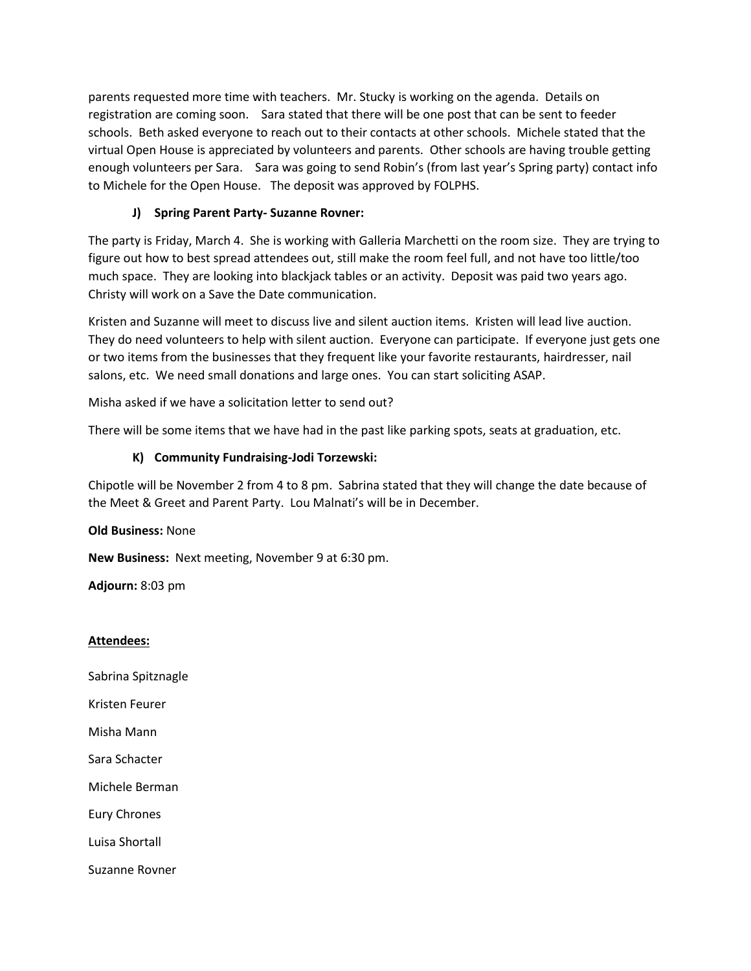parents requested more time with teachers. Mr. Stucky is working on the agenda. Details on registration are coming soon. Sara stated that there will be one post that can be sent to feeder schools. Beth asked everyone to reach out to their contacts at other schools. Michele stated that the virtual Open House is appreciated by volunteers and parents. Other schools are having trouble getting enough volunteers per Sara. Sara was going to send Robin's (from last year's Spring party) contact info to Michele for the Open House. The deposit was approved by FOLPHS.

### **J) Spring Parent Party- Suzanne Rovner:**

The party is Friday, March 4. She is working with Galleria Marchetti on the room size. They are trying to figure out how to best spread attendees out, still make the room feel full, and not have too little/too much space. They are looking into blackjack tables or an activity. Deposit was paid two years ago. Christy will work on a Save the Date communication.

Kristen and Suzanne will meet to discuss live and silent auction items. Kristen will lead live auction. They do need volunteers to help with silent auction. Everyone can participate. If everyone just gets one or two items from the businesses that they frequent like your favorite restaurants, hairdresser, nail salons, etc. We need small donations and large ones. You can start soliciting ASAP.

Misha asked if we have a solicitation letter to send out?

There will be some items that we have had in the past like parking spots, seats at graduation, etc.

#### **K) Community Fundraising-Jodi Torzewski:**

Chipotle will be November 2 from 4 to 8 pm. Sabrina stated that they will change the date because of the Meet & Greet and Parent Party. Lou Malnati's will be in December.

**Old Business:** None

**New Business:** Next meeting, November 9 at 6:30 pm.

**Adjourn:** 8:03 pm

#### **Attendees:**

Sabrina Spitznagle

Kristen Feurer

Misha Mann

Sara Schacter

Michele Berman

Eury Chrones

Luisa Shortall

Suzanne Rovner